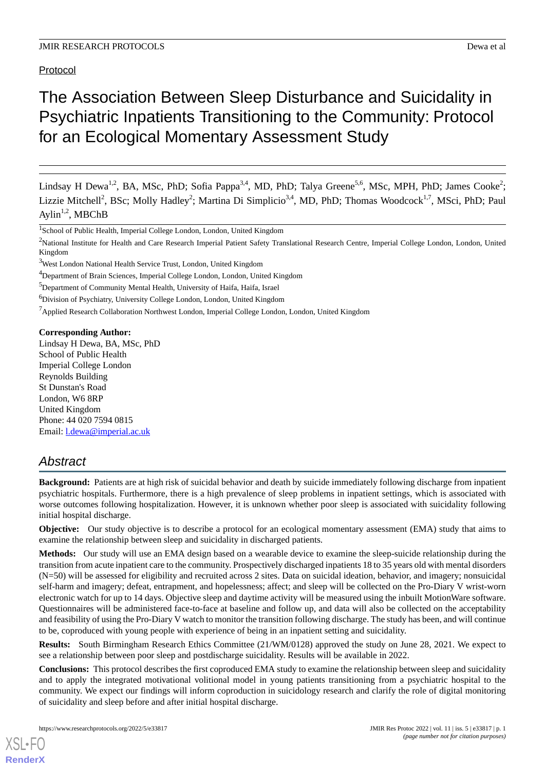Protocol

# The Association Between Sleep Disturbance and Suicidality in Psychiatric Inpatients Transitioning to the Community: Protocol for an Ecological Momentary Assessment Study

Lindsay H Dewa<sup>1,2</sup>, BA, MSc, PhD; Sofia Pappa<sup>3,4</sup>, MD, PhD; Talya Greene<sup>5,6</sup>, MSc, MPH, PhD; James Cooke<sup>2</sup>; Lizzie Mitchell<sup>2</sup>, BSc; Molly Hadley<sup>2</sup>; Martina Di Simplicio<sup>3,4</sup>, MD, PhD; Thomas Woodcock<sup>1,7</sup>, MSci, PhD; Paul Aylin<sup>1,2</sup>, MBChB

<sup>2</sup>National Institute for Health and Care Research Imperial Patient Safety Translational Research Centre, Imperial College London, London, United Kingdom

<sup>7</sup>Applied Research Collaboration Northwest London, Imperial College London, London, United Kingdom

#### **Corresponding Author:**

Lindsay H Dewa, BA, MSc, PhD School of Public Health Imperial College London Reynolds Building St Dunstan's Road London, W6 8RP United Kingdom Phone: 44 020 7594 0815 Email: [l.dewa@imperial.ac.uk](mailto:l.dewa@imperial.ac.uk)

# *Abstract*

**Background:** Patients are at high risk of suicidal behavior and death by suicide immediately following discharge from inpatient psychiatric hospitals. Furthermore, there is a high prevalence of sleep problems in inpatient settings, which is associated with worse outcomes following hospitalization. However, it is unknown whether poor sleep is associated with suicidality following initial hospital discharge.

**Objective:** Our study objective is to describe a protocol for an ecological momentary assessment (EMA) study that aims to examine the relationship between sleep and suicidality in discharged patients.

**Methods:** Our study will use an EMA design based on a wearable device to examine the sleep-suicide relationship during the transition from acute inpatient care to the community. Prospectively discharged inpatients 18 to 35 years old with mental disorders (N=50) will be assessed for eligibility and recruited across 2 sites. Data on suicidal ideation, behavior, and imagery; nonsuicidal self-harm and imagery; defeat, entrapment, and hopelessness; affect; and sleep will be collected on the Pro-Diary V wrist-worn electronic watch for up to 14 days. Objective sleep and daytime activity will be measured using the inbuilt MotionWare software. Questionnaires will be administered face-to-face at baseline and follow up, and data will also be collected on the acceptability and feasibility of using the Pro-Diary V watch to monitor the transition following discharge. The study has been, and will continue to be, coproduced with young people with experience of being in an inpatient setting and suicidality.

**Results:** South Birmingham Research Ethics Committee (21/WM/0128) approved the study on June 28, 2021. We expect to see a relationship between poor sleep and postdischarge suicidality. Results will be available in 2022.

**Conclusions:** This protocol describes the first coproduced EMA study to examine the relationship between sleep and suicidality and to apply the integrated motivational volitional model in young patients transitioning from a psychiatric hospital to the community. We expect our findings will inform coproduction in suicidology research and clarify the role of digital monitoring of suicidality and sleep before and after initial hospital discharge.

<sup>&</sup>lt;sup>1</sup>School of Public Health, Imperial College London, London, United Kingdom

<sup>&</sup>lt;sup>3</sup>West London National Health Service Trust, London, United Kingdom

<sup>4</sup>Department of Brain Sciences, Imperial College London, London, United Kingdom

<sup>5</sup>Department of Community Mental Health, University of Haifa, Haifa, Israel

<sup>&</sup>lt;sup>6</sup>Division of Psychiatry, University College London, London, United Kingdom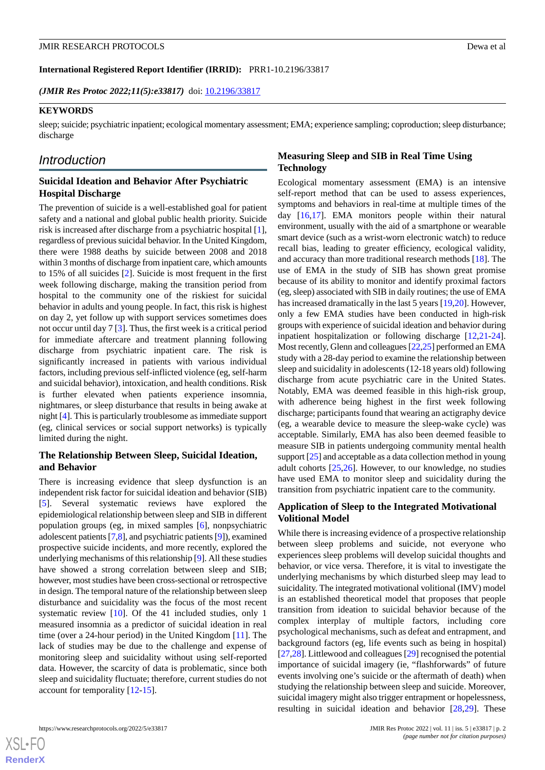**International Registered Report Identifier (IRRID):** PRR1-10.2196/33817

*(JMIR Res Protoc 2022;11(5):e33817)* doi: [10.2196/33817](http://dx.doi.org/10.2196/33817)

#### **KEYWORDS**

sleep; suicide; psychiatric inpatient; ecological momentary assessment; EMA; experience sampling; coproduction; sleep disturbance; discharge

# *Introduction*

## **Suicidal Ideation and Behavior After Psychiatric Hospital Discharge**

The prevention of suicide is a well-established goal for patient safety and a national and global public health priority. Suicide risk is increased after discharge from a psychiatric hospital [[1\]](#page-8-0), regardless of previous suicidal behavior. In the United Kingdom, there were 1988 deaths by suicide between 2008 and 2018 within 3 months of discharge from inpatient care, which amounts to 15% of all suicides [\[2](#page-8-1)]. Suicide is most frequent in the first week following discharge, making the transition period from hospital to the community one of the riskiest for suicidal behavior in adults and young people. In fact, this risk is highest on day 2, yet follow up with support services sometimes does not occur until day 7 [[3\]](#page-8-2). Thus, the first week is a critical period for immediate aftercare and treatment planning following discharge from psychiatric inpatient care. The risk is significantly increased in patients with various individual factors, including previous self-inflicted violence (eg, self-harm and suicidal behavior), intoxication, and health conditions. Risk is further elevated when patients experience insomnia, nightmares, or sleep disturbance that results in being awake at night [\[4](#page-8-3)]. This is particularly troublesome as immediate support (eg, clinical services or social support networks) is typically limited during the night.

#### **The Relationship Between Sleep, Suicidal Ideation, and Behavior**

There is increasing evidence that sleep dysfunction is an independent risk factor for suicidal ideation and behavior (SIB) [[5\]](#page-8-4). Several systematic reviews have explored the epidemiological relationship between sleep and SIB in different population groups (eg, in mixed samples [\[6](#page-8-5)], nonpsychiatric adolescent patients [\[7](#page-9-0),[8\]](#page-9-1), and psychiatric patients [[9\]](#page-9-2)), examined prospective suicide incidents, and more recently, explored the underlying mechanisms of this relationship [\[9](#page-9-2)]. All these studies have showed a strong correlation between sleep and SIB; however, most studies have been cross-sectional or retrospective in design. The temporal nature of the relationship between sleep disturbance and suicidality was the focus of the most recent systematic review [[10\]](#page-9-3). Of the 41 included studies, only 1 measured insomnia as a predictor of suicidal ideation in real time (over a 24-hour period) in the United Kingdom [[11\]](#page-9-4). The lack of studies may be due to the challenge and expense of monitoring sleep and suicidality without using self-reported data. However, the scarcity of data is problematic, since both sleep and suicidality fluctuate; therefore, current studies do not account for temporality [\[12](#page-9-5)-[15\]](#page-9-6).

## **Measuring Sleep and SIB in Real Time Using Technology**

Ecological momentary assessment (EMA) is an intensive self-report method that can be used to assess experiences, symptoms and behaviors in real-time at multiple times of the day [\[16](#page-9-7),[17\]](#page-9-8). EMA monitors people within their natural environment, usually with the aid of a smartphone or wearable smart device (such as a wrist-worn electronic watch) to reduce recall bias, leading to greater efficiency, ecological validity, and accuracy than more traditional research methods [\[18](#page-9-9)]. The use of EMA in the study of SIB has shown great promise because of its ability to monitor and identify proximal factors (eg, sleep) associated with SIB in daily routines; the use of EMA has increased dramatically in the last 5 years [\[19](#page-9-10),[20\]](#page-9-11). However, only a few EMA studies have been conducted in high-risk groups with experience of suicidal ideation and behavior during inpatient hospitalization or following discharge [\[12](#page-9-5),[21-](#page-9-12)[24\]](#page-9-13). Most recently, Glenn and colleagues [[22](#page-9-14),[25\]](#page-9-15) performed an EMA study with a 28-day period to examine the relationship between sleep and suicidality in adolescents (12-18 years old) following discharge from acute psychiatric care in the United States. Notably, EMA was deemed feasible in this high-risk group, with adherence being highest in the first week following discharge; participants found that wearing an actigraphy device (eg, a wearable device to measure the sleep-wake cycle) was acceptable. Similarly, EMA has also been deemed feasible to measure SIB in patients undergoing community mental health support [\[25\]](#page-9-15) and acceptable as a data collection method in young adult cohorts [[25,](#page-9-15)[26](#page-9-16)]. However, to our knowledge, no studies have used EMA to monitor sleep and suicidality during the transition from psychiatric inpatient care to the community.

## **Application of Sleep to the Integrated Motivational Volitional Model**

While there is increasing evidence of a prospective relationship between sleep problems and suicide, not everyone who experiences sleep problems will develop suicidal thoughts and behavior, or vice versa. Therefore, it is vital to investigate the underlying mechanisms by which disturbed sleep may lead to suicidality. The integrated motivational volitional (IMV) model is an established theoretical model that proposes that people transition from ideation to suicidal behavior because of the complex interplay of multiple factors, including core psychological mechanisms, such as defeat and entrapment, and background factors (eg, life events such as being in hospital) [[27](#page-10-0)[,28](#page-10-1)]. Littlewood and colleagues [[29](#page-10-2)] recognised the potential importance of suicidal imagery (ie, "flashforwards" of future events involving one's suicide or the aftermath of death) when studying the relationship between sleep and suicide. Moreover, suicidal imagery might also trigger entrapment or hopelessness, resulting in suicidal ideation and behavior [\[28](#page-10-1),[29\]](#page-10-2). These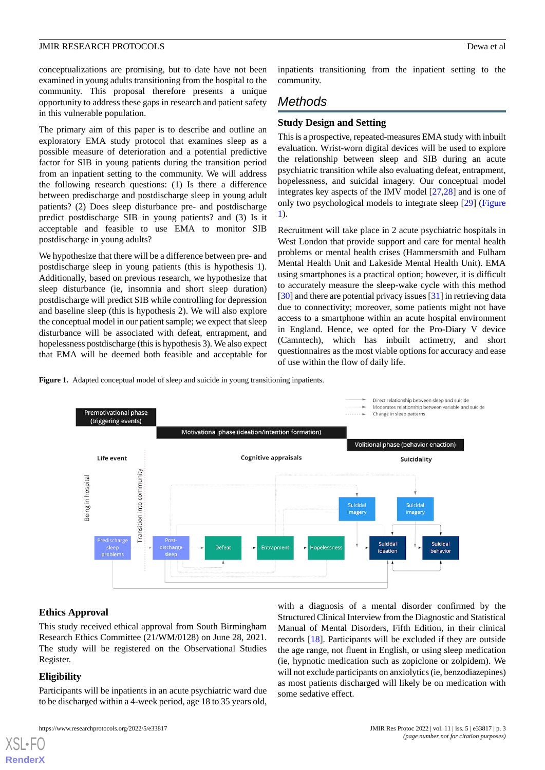conceptualizations are promising, but to date have not been examined in young adults transitioning from the hospital to the community. This proposal therefore presents a unique opportunity to address these gaps in research and patient safety in this vulnerable population.

The primary aim of this paper is to describe and outline an exploratory EMA study protocol that examines sleep as a possible measure of deterioration and a potential predictive factor for SIB in young patients during the transition period from an inpatient setting to the community. We will address the following research questions: (1) Is there a difference between predischarge and postdischarge sleep in young adult patients? (2) Does sleep disturbance pre- and postdischarge predict postdischarge SIB in young patients? and (3) Is it acceptable and feasible to use EMA to monitor SIB postdischarge in young adults?

We hypothesize that there will be a difference between pre- and postdischarge sleep in young patients (this is hypothesis 1). Additionally, based on previous research, we hypothesize that sleep disturbance (ie, insomnia and short sleep duration) postdischarge will predict SIB while controlling for depression and baseline sleep (this is hypothesis 2). We will also explore the conceptual model in our patient sample; we expect that sleep disturbance will be associated with defeat, entrapment, and hopelessness postdischarge (this is hypothesis 3). We also expect that EMA will be deemed both feasible and acceptable for inpatients transitioning from the inpatient setting to the community.

# *Methods*

# **Study Design and Setting**

This is a prospective, repeated-measures EMA study with inbuilt evaluation. Wrist-worn digital devices will be used to explore the relationship between sleep and SIB during an acute psychiatric transition while also evaluating defeat, entrapment, hopelessness, and suicidal imagery. Our conceptual model integrates key aspects of the IMV model [\[27](#page-10-0),[28\]](#page-10-1) and is one of only two psychological models to integrate sleep [\[29](#page-10-2)] ([Figure](#page-2-0) [1\)](#page-2-0).

Recruitment will take place in 2 acute psychiatric hospitals in West London that provide support and care for mental health problems or mental health crises (Hammersmith and Fulham Mental Health Unit and Lakeside Mental Health Unit). EMA using smartphones is a practical option; however, it is difficult to accurately measure the sleep-wake cycle with this method [[30\]](#page-10-3) and there are potential privacy issues [\[31](#page-10-4)] in retrieving data due to connectivity; moreover, some patients might not have access to a smartphone within an acute hospital environment in England. Hence, we opted for the Pro-Diary V device (Camntech), which has inbuilt actimetry, and short questionnaires as the most viable options for accuracy and ease of use within the flow of daily life.

<span id="page-2-0"></span>**Figure 1.** Adapted conceptual model of sleep and suicide in young transitioning inpatients.



# **Ethics Approval**

This study received ethical approval from South Birmingham Research Ethics Committee (21/WM/0128) on June 28, 2021. The study will be registered on the Observational Studies Register.

# **Eligibility**

[XSL](http://www.w3.org/Style/XSL)•FO **[RenderX](http://www.renderx.com/)**

Participants will be inpatients in an acute psychiatric ward due to be discharged within a 4-week period, age 18 to 35 years old,

with a diagnosis of a mental disorder confirmed by the Structured Clinical Interview from the Diagnostic and Statistical Manual of Mental Disorders, Fifth Edition, in their clinical records [[18\]](#page-9-9). Participants will be excluded if they are outside the age range, not fluent in English, or using sleep medication (ie, hypnotic medication such as zopiclone or zolpidem). We will not exclude participants on anxiolytics (ie, benzodiazepines) as most patients discharged will likely be on medication with some sedative effect.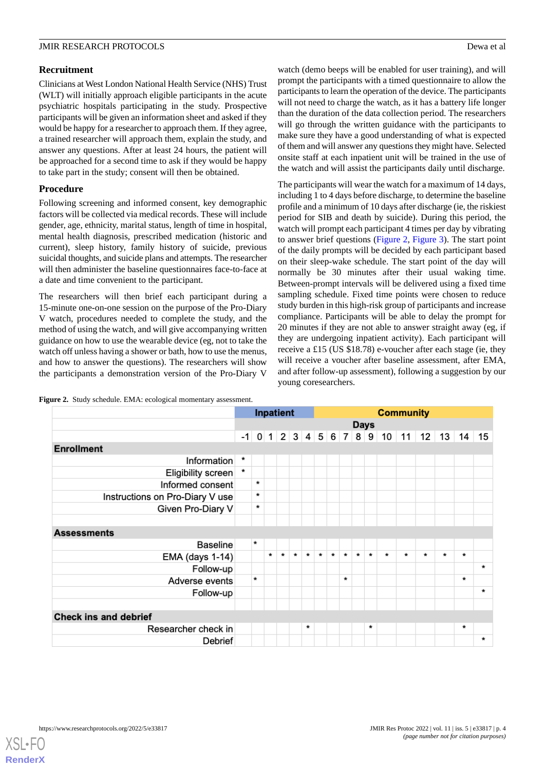# **Recruitment**

Clinicians at West London National Health Service (NHS) Trust (WLT) will initially approach eligible participants in the acute psychiatric hospitals participating in the study. Prospective participants will be given an information sheet and asked if they would be happy for a researcher to approach them. If they agree, a trained researcher will approach them, explain the study, and answer any questions. After at least 24 hours, the patient will be approached for a second time to ask if they would be happy to take part in the study; consent will then be obtained.

# **Procedure**

Following screening and informed consent, key demographic factors will be collected via medical records. These will include gender, age, ethnicity, marital status, length of time in hospital, mental health diagnosis, prescribed medication (historic and current), sleep history, family history of suicide, previous suicidal thoughts, and suicide plans and attempts. The researcher will then administer the baseline questionnaires face-to-face at a date and time convenient to the participant.

The researchers will then brief each participant during a 15-minute one-on-one session on the purpose of the Pro-Diary V watch, procedures needed to complete the study, and the method of using the watch, and will give accompanying written guidance on how to use the wearable device (eg, not to take the watch off unless having a shower or bath, how to use the menus, and how to answer the questions). The researchers will show the participants a demonstration version of the Pro-Diary V

watch (demo beeps will be enabled for user training), and will prompt the participants with a timed questionnaire to allow the participants to learn the operation of the device. The participants will not need to charge the watch, as it has a battery life longer than the duration of the data collection period. The researchers will go through the written guidance with the participants to make sure they have a good understanding of what is expected of them and will answer any questions they might have. Selected onsite staff at each inpatient unit will be trained in the use of the watch and will assist the participants daily until discharge.

The participants will wear the watch for a maximum of 14 days, including 1 to 4 days before discharge, to determine the baseline profile and a minimum of 10 days after discharge (ie, the riskiest period for SIB and death by suicide). During this period, the watch will prompt each participant 4 times per day by vibrating to answer brief questions [\(Figure 2](#page-3-0), [Figure 3\)](#page-4-0). The start point of the daily prompts will be decided by each participant based on their sleep-wake schedule. The start point of the day will normally be 30 minutes after their usual waking time. Between-prompt intervals will be delivered using a fixed time sampling schedule. Fixed time points were chosen to reduce study burden in this high-risk group of participants and increase compliance. Participants will be able to delay the prompt for 20 minutes if they are not able to answer straight away (eg, if they are undergoing inpatient activity). Each participant will receive a £15 (US \$18.78) e-voucher after each stage (ie, they will receive a voucher after baseline assessment, after EMA, and after follow-up assessment), following a suggestion by our young coresearchers.

<span id="page-3-0"></span>

|  | Figure 2. Study schedule. EMA: ecological momentary assessment. |  |
|--|-----------------------------------------------------------------|--|
|  |                                                                 |  |

|                                 | Inpatient |         |         |         | <b>Community</b>                                          |         |         |         |         |         |         |         |         |         |        |         |         |
|---------------------------------|-----------|---------|---------|---------|-----------------------------------------------------------|---------|---------|---------|---------|---------|---------|---------|---------|---------|--------|---------|---------|
|                                 |           |         |         |         | <b>Days</b><br>$-1$ 0 1 2 3 4 5 6 7 8 9 10 11 12 13 14 15 |         |         |         |         |         |         |         |         |         |        |         |         |
|                                 |           |         |         |         |                                                           |         |         |         |         |         |         |         |         |         |        |         |         |
| <b>Enrollment</b>               |           |         |         |         |                                                           |         |         |         |         |         |         |         |         |         |        |         |         |
| Information                     | *         |         |         |         |                                                           |         |         |         |         |         |         |         |         |         |        |         |         |
| <b>Eligibility screen</b>       | $\ast$    |         |         |         |                                                           |         |         |         |         |         |         |         |         |         |        |         |         |
| Informed consent                |           | $\star$ |         |         |                                                           |         |         |         |         |         |         |         |         |         |        |         |         |
| Instructions on Pro-Diary V use |           | $\star$ |         |         |                                                           |         |         |         |         |         |         |         |         |         |        |         |         |
| Given Pro-Diary V               |           | $\ast$  |         |         |                                                           |         |         |         |         |         |         |         |         |         |        |         |         |
|                                 |           |         |         |         |                                                           |         |         |         |         |         |         |         |         |         |        |         |         |
| <b>Assessments</b>              |           |         |         |         |                                                           |         |         |         |         |         |         |         |         |         |        |         |         |
| <b>Baseline</b>                 |           | $\star$ |         |         |                                                           |         |         |         |         |         |         |         |         |         |        |         |         |
| EMA (days 1-14)                 |           |         | $\star$ | $\star$ | $\star$                                                   | $\star$ | $\star$ | $\star$ | $\star$ | $\star$ | $\star$ | $\star$ | $\star$ | $\star$ | $\ast$ | $\star$ |         |
| Follow-up                       |           |         |         |         |                                                           |         |         |         |         |         |         |         |         |         |        |         | $\star$ |
| Adverse events                  |           | $\star$ |         |         |                                                           |         |         |         | $\star$ |         |         |         |         |         |        | $\star$ |         |
| Follow-up                       |           |         |         |         |                                                           |         |         |         |         |         |         |         |         |         |        |         | $\star$ |
|                                 |           |         |         |         |                                                           |         |         |         |         |         |         |         |         |         |        |         |         |
| <b>Check ins and debrief</b>    |           |         |         |         |                                                           |         |         |         |         |         |         |         |         |         |        |         |         |
| Researcher check in             |           |         |         |         |                                                           | $\ast$  |         |         |         |         | *       |         |         |         |        | *       |         |
| Debrief                         |           |         |         |         |                                                           |         |         |         |         |         |         |         |         |         |        |         | *       |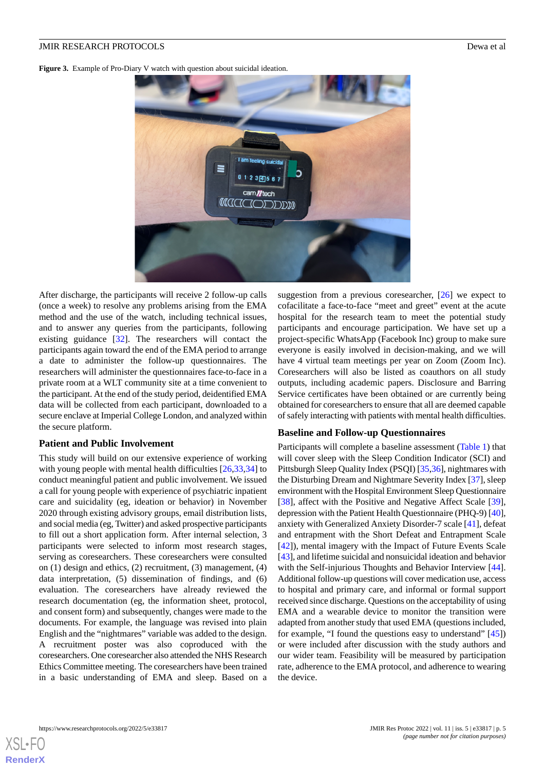<span id="page-4-0"></span>Figure 3. Example of Pro-Diary V watch with question about suicidal ideation.



After discharge, the participants will receive 2 follow-up calls (once a week) to resolve any problems arising from the EMA method and the use of the watch, including technical issues, and to answer any queries from the participants, following existing guidance [\[32](#page-10-5)]. The researchers will contact the participants again toward the end of the EMA period to arrange a date to administer the follow-up questionnaires. The researchers will administer the questionnaires face-to-face in a private room at a WLT community site at a time convenient to the participant. At the end of the study period, deidentified EMA data will be collected from each participant, downloaded to a secure enclave at Imperial College London, and analyzed within the secure platform.

#### **Patient and Public Involvement**

This study will build on our extensive experience of working with young people with mental health difficulties [\[26](#page-9-16),[33](#page-10-6)[,34](#page-10-7)] to conduct meaningful patient and public involvement. We issued a call for young people with experience of psychiatric inpatient care and suicidality (eg, ideation or behavior) in November 2020 through existing advisory groups, email distribution lists, and social media (eg, Twitter) and asked prospective participants to fill out a short application form. After internal selection, 3 participants were selected to inform most research stages, serving as coresearchers. These coresearchers were consulted on (1) design and ethics, (2) recruitment, (3) management, (4) data interpretation, (5) dissemination of findings, and (6) evaluation. The coresearchers have already reviewed the research documentation (eg, the information sheet, protocol, and consent form) and subsequently, changes were made to the documents. For example, the language was revised into plain English and the "nightmares" variable was added to the design. A recruitment poster was also coproduced with the coresearchers. One coresearcher also attended the NHS Research Ethics Committee meeting. The coresearchers have been trained in a basic understanding of EMA and sleep. Based on a

suggestion from a previous coresearcher, [\[26](#page-9-16)] we expect to cofacilitate a face-to-face "meet and greet" event at the acute hospital for the research team to meet the potential study participants and encourage participation. We have set up a project-specific WhatsApp (Facebook Inc) group to make sure everyone is easily involved in decision-making, and we will have 4 virtual team meetings per year on Zoom (Zoom Inc). Coresearchers will also be listed as coauthors on all study outputs, including academic papers. Disclosure and Barring Service certificates have been obtained or are currently being obtained for coresearchers to ensure that all are deemed capable of safely interacting with patients with mental health difficulties.

#### **Baseline and Follow-up Questionnaires**

Participants will complete a baseline assessment ([Table 1\)](#page-5-0) that will cover sleep with the Sleep Condition Indicator (SCI) and Pittsburgh Sleep Quality Index (PSQI) [\[35](#page-10-8),[36\]](#page-10-9), nightmares with the Disturbing Dream and Nightmare Severity Index [[37\]](#page-10-10), sleep environment with the Hospital Environment Sleep Questionnaire [[38\]](#page-10-11), affect with the Positive and Negative Affect Scale [[39\]](#page-10-12), depression with the Patient Health Questionnaire (PHQ-9) [\[40](#page-10-13)], anxiety with Generalized Anxiety Disorder-7 scale [\[41](#page-10-14)], defeat and entrapment with the Short Defeat and Entrapment Scale [[42\]](#page-10-15)), mental imagery with the Impact of Future Events Scale [[43\]](#page-10-16), and lifetime suicidal and nonsuicidal ideation and behavior with the Self-injurious Thoughts and Behavior Interview [[44\]](#page-10-17). Additional follow-up questions will cover medication use, access to hospital and primary care, and informal or formal support received since discharge. Questions on the acceptability of using EMA and a wearable device to monitor the transition were adapted from another study that used EMA (questions included, for example, "I found the questions easy to understand" [\[45](#page-10-18)]) or were included after discussion with the study authors and our wider team. Feasibility will be measured by participation rate, adherence to the EMA protocol, and adherence to wearing the device.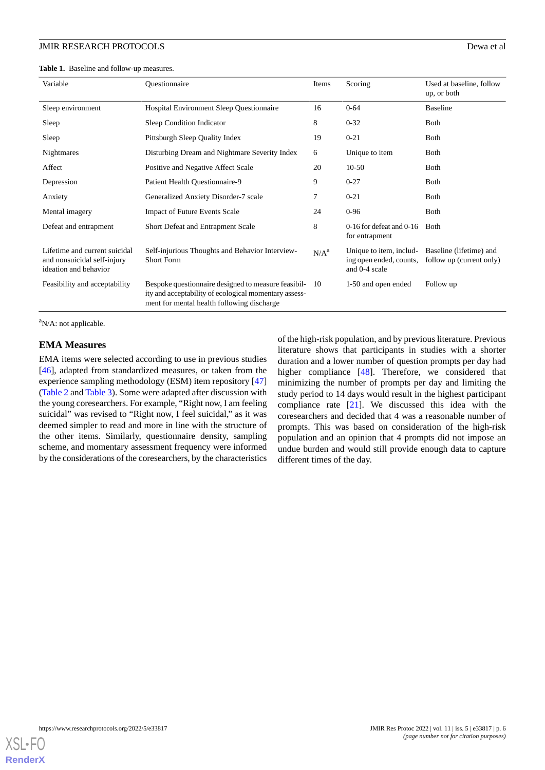<span id="page-5-0"></span>**Table 1.** Baseline and follow-up measures.

| Variable                                                                              | Ouestionnaire                                                                                                                                              | Items            | Scoring                                                             | Used at baseline, follow<br>up, or both             |
|---------------------------------------------------------------------------------------|------------------------------------------------------------------------------------------------------------------------------------------------------------|------------------|---------------------------------------------------------------------|-----------------------------------------------------|
| Sleep environment                                                                     | <b>Hospital Environment Sleep Questionnaire</b>                                                                                                            | 16               | $0 - 64$                                                            | <b>Baseline</b>                                     |
| Sleep                                                                                 | Sleep Condition Indicator                                                                                                                                  | 8                | $0 - 32$                                                            | <b>Both</b>                                         |
| Sleep                                                                                 | Pittsburgh Sleep Quality Index                                                                                                                             | 19               | $0 - 21$                                                            | <b>B</b> oth                                        |
| Nightmares                                                                            | Disturbing Dream and Nightmare Severity Index                                                                                                              | 6                | Unique to item                                                      | <b>B</b> oth                                        |
| Affect                                                                                | Positive and Negative Affect Scale                                                                                                                         | 20               | $10-50$                                                             | Both                                                |
| Depression                                                                            | Patient Health Questionnaire-9                                                                                                                             | 9                | $0 - 27$                                                            | Both                                                |
| Anxiety                                                                               | Generalized Anxiety Disorder-7 scale                                                                                                                       | 7                | $0 - 21$                                                            | Both                                                |
| Mental imagery                                                                        | <b>Impact of Future Events Scale</b>                                                                                                                       | 24               | $0 - 96$                                                            | Both                                                |
| Defeat and entrapment                                                                 | Short Defeat and Entrapment Scale                                                                                                                          | 8                | $0-16$ for defeat and $0-16$<br>for entrapment                      | <b>Both</b>                                         |
| Lifetime and current suicidal<br>and nonsuicidal self-injury<br>ideation and behavior | Self-injurious Thoughts and Behavior Interview-<br><b>Short Form</b>                                                                                       | N/A <sup>a</sup> | Unique to item, includ-<br>ing open ended, counts,<br>and 0-4 scale | Baseline (lifetime) and<br>follow up (current only) |
| Feasibility and acceptability                                                         | Bespoke questionnaire designed to measure feasibil-<br>ity and acceptability of ecological momentary assess-<br>ment for mental health following discharge | -10              | 1-50 and open ended                                                 | Follow up                                           |

 $a$ N/A: not applicable.

#### **EMA Measures**

EMA items were selected according to use in previous studies [[46\]](#page-10-19), adapted from standardized measures, or taken from the experience sampling methodology (ESM) item repository [\[47](#page-10-20)] ([Table 2](#page-6-0) and [Table 3](#page-6-1)). Some were adapted after discussion with the young coresearchers. For example, "Right now, I am feeling suicidal" was revised to "Right now, I feel suicidal," as it was deemed simpler to read and more in line with the structure of the other items. Similarly, questionnaire density, sampling scheme, and momentary assessment frequency were informed by the considerations of the coresearchers, by the characteristics

of the high-risk population, and by previous literature. Previous literature shows that participants in studies with a shorter duration and a lower number of question prompts per day had higher compliance [\[48](#page-10-21)]. Therefore, we considered that minimizing the number of prompts per day and limiting the study period to 14 days would result in the highest participant compliance rate [\[21](#page-9-12)]. We discussed this idea with the coresearchers and decided that 4 was a reasonable number of prompts. This was based on consideration of the high-risk population and an opinion that 4 prompts did not impose an undue burden and would still provide enough data to capture different times of the day.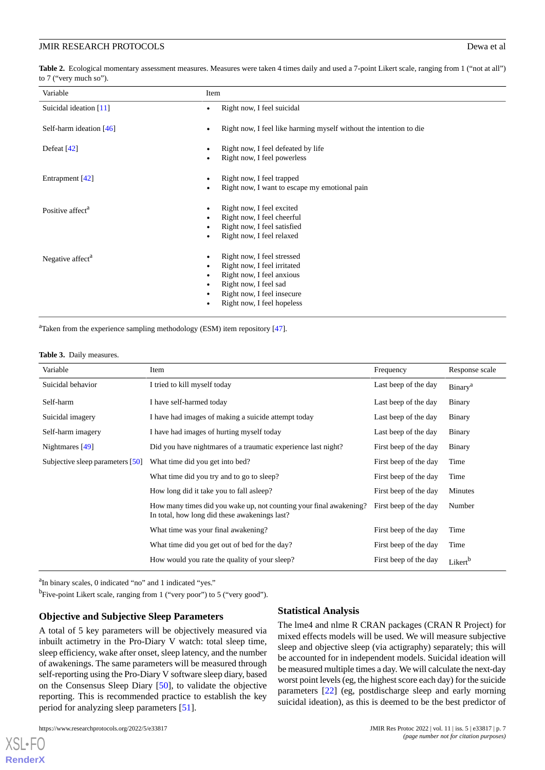<span id="page-6-0"></span>Table 2. Ecological momentary assessment measures. Measures were taken 4 times daily and used a 7-point Likert scale, ranging from 1 ("not at all") to 7 ("very much so").

| Variable                     | Item                                                                                                                                                                        |
|------------------------------|-----------------------------------------------------------------------------------------------------------------------------------------------------------------------------|
| Suicidal ideation $[11]$     | Right now, I feel suicidal                                                                                                                                                  |
| Self-harm ideation $[46]$    | Right now, I feel like harming myself without the intention to die                                                                                                          |
| Defeat $[42]$                | Right now, I feel defeated by life<br>Right now, I feel powerless                                                                                                           |
| Entrapment [42]              | Right now, I feel trapped<br>Right now, I want to escape my emotional pain                                                                                                  |
| Positive affect <sup>a</sup> | Right now, I feel excited<br>Right now, I feel cheerful<br>Right now, I feel satisfied<br>Right now, I feel relaxed                                                         |
| Negative affect <sup>a</sup> | Right now, I feel stressed<br>Right now, I feel irritated<br>Right now, I feel anxious<br>Right now, I feel sad<br>Right now, I feel insecure<br>Right now, I feel hopeless |

<span id="page-6-1"></span> $a$ Taken from the experience sampling methodology (ESM) item repository [\[47\]](#page-10-20).

#### **Table 3.** Daily measures.

| Variable                         | Item                                                                                                                                      | Frequency             | Response scale      |
|----------------------------------|-------------------------------------------------------------------------------------------------------------------------------------------|-----------------------|---------------------|
| Suicidal behavior                | I tried to kill myself today                                                                                                              | Last beep of the day  | Binary <sup>a</sup> |
| Self-harm                        | I have self-harmed today                                                                                                                  | Last beep of the day  | Binary              |
| Suicidal imagery                 | I have had images of making a suicide attempt today                                                                                       | Last beep of the day  | Binary              |
| Self-harm imagery                | I have had images of hurting myself today                                                                                                 | Last beep of the day  | <b>Binary</b>       |
| Nightmares $[49]$                | Did you have nightmares of a traumatic experience last night?                                                                             | First beep of the day | <b>Binary</b>       |
| Subjective sleep parameters [50] | What time did you get into bed?                                                                                                           | First beep of the day | Time                |
|                                  | What time did you try and to go to sleep?                                                                                                 | First beep of the day | Time                |
|                                  | How long did it take you to fall as leep?                                                                                                 | First beep of the day | Minutes             |
|                                  | How many times did you wake up, not counting your final awakening? First beep of the day<br>In total, how long did these awakenings last? |                       | Number              |
|                                  | What time was your final awakening?                                                                                                       | First beep of the day | Time                |
|                                  | What time did you get out of bed for the day?                                                                                             | First beep of the day | Time                |
|                                  | How would you rate the quality of your sleep?                                                                                             | First beep of the day | Likert <sup>b</sup> |

<sup>a</sup>In binary scales, 0 indicated "no" and 1 indicated "yes."

<sup>b</sup>Five-point Likert scale, ranging from 1 ("very poor") to 5 ("very good").

#### **Objective and Subjective Sleep Parameters**

A total of 5 key parameters will be objectively measured via inbuilt actimetry in the Pro-Diary V watch: total sleep time, sleep efficiency, wake after onset, sleep latency, and the number of awakenings. The same parameters will be measured through self-reporting using the Pro-Diary V software sleep diary, based on the Consensus Sleep Diary [[50\]](#page-11-1), to validate the objective reporting. This is recommended practice to establish the key period for analyzing sleep parameters [[51\]](#page-11-2).

[XSL](http://www.w3.org/Style/XSL)•FO **[RenderX](http://www.renderx.com/)**

#### **Statistical Analysis**

The lme4 and nlme R CRAN packages (CRAN R Project) for mixed effects models will be used. We will measure subjective sleep and objective sleep (via actigraphy) separately; this will be accounted for in independent models. Suicidal ideation will be measured multiple times a day. We will calculate the next-day worst point levels (eg, the highest score each day) for the suicide parameters [\[22](#page-9-14)] (eg, postdischarge sleep and early morning suicidal ideation), as this is deemed to be the best predictor of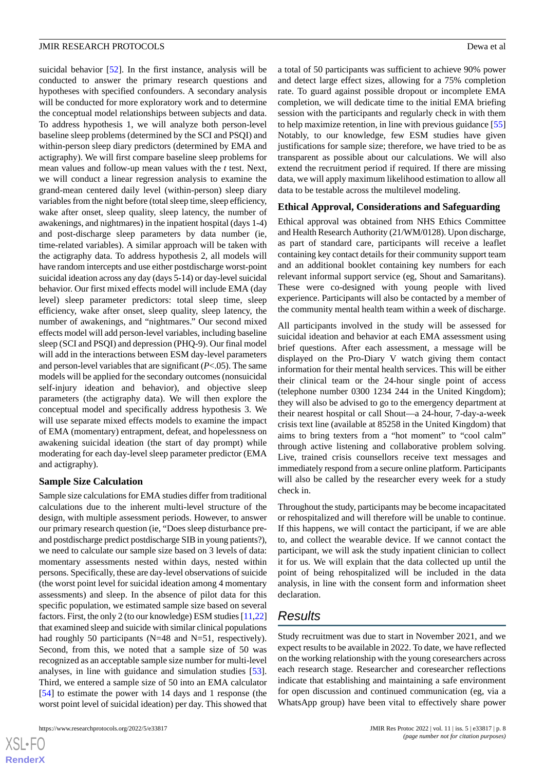suicidal behavior [[52\]](#page-11-3). In the first instance, analysis will be conducted to answer the primary research questions and hypotheses with specified confounders. A secondary analysis will be conducted for more exploratory work and to determine the conceptual model relationships between subjects and data. To address hypothesis 1, we will analyze both person-level baseline sleep problems (determined by the SCI and PSQI) and within-person sleep diary predictors (determined by EMA and actigraphy). We will first compare baseline sleep problems for mean values and follow-up mean values with the *t* test. Next, we will conduct a linear regression analysis to examine the grand-mean centered daily level (within-person) sleep diary variables from the night before (total sleep time, sleep efficiency, wake after onset, sleep quality, sleep latency, the number of awakenings, and nightmares) in the inpatient hospital (days 1-4) and post-discharge sleep parameters by data number (ie, time-related variables). A similar approach will be taken with the actigraphy data. To address hypothesis 2, all models will have random intercepts and use either postdischarge worst-point suicidal ideation across any day (days 5-14) or day-level suicidal behavior. Our first mixed effects model will include EMA (day level) sleep parameter predictors: total sleep time, sleep efficiency, wake after onset, sleep quality, sleep latency, the number of awakenings, and "nightmares." Our second mixed effects model will add person-level variables, including baseline sleep (SCI and PSQI) and depression (PHQ-9). Our final model will add in the interactions between ESM day-level parameters and person-level variables that are significant (*P*<.05). The same models will be applied for the secondary outcomes (nonsuicidal self-injury ideation and behavior), and objective sleep parameters (the actigraphy data). We will then explore the conceptual model and specifically address hypothesis 3. We will use separate mixed effects models to examine the impact of EMA (momentary) entrapment, defeat, and hopelessness on awakening suicidal ideation (the start of day prompt) while moderating for each day-level sleep parameter predictor (EMA and actigraphy).

#### **Sample Size Calculation**

Sample size calculations for EMA studies differ from traditional calculations due to the inherent multi-level structure of the design, with multiple assessment periods. However, to answer our primary research question (ie, "Does sleep disturbance preand postdischarge predict postdischarge SIB in young patients?), we need to calculate our sample size based on 3 levels of data: momentary assessments nested within days, nested within persons. Specifically, these are day-level observations of suicide (the worst point level for suicidal ideation among 4 momentary assessments) and sleep. In the absence of pilot data for this specific population, we estimated sample size based on several factors. First, the only 2 (to our knowledge) ESM studies [\[11](#page-9-4)[,22](#page-9-14)] that examined sleep and suicide with similar clinical populations had roughly 50 participants (N=48 and N=51, respectively). Second, from this, we noted that a sample size of 50 was recognized as an acceptable sample size number for multi-level analyses, in line with guidance and simulation studies [[53\]](#page-11-4). Third, we entered a sample size of 50 into an EMA calculator [[54\]](#page-11-5) to estimate the power with 14 days and 1 response (the worst point level of suicidal ideation) per day. This showed that

 $XS$ -FO **[RenderX](http://www.renderx.com/)**

a total of 50 participants was sufficient to achieve 90% power and detect large effect sizes, allowing for a 75% completion rate. To guard against possible dropout or incomplete EMA completion, we will dedicate time to the initial EMA briefing session with the participants and regularly check in with them to help maximize retention, in line with previous guidance [\[55](#page-11-6)] Notably, to our knowledge, few ESM studies have given justifications for sample size; therefore, we have tried to be as transparent as possible about our calculations. We will also extend the recruitment period if required. If there are missing data, we will apply maximum likelihood estimation to allow all data to be testable across the multilevel modeling.

#### **Ethical Approval, Considerations and Safeguarding**

Ethical approval was obtained from NHS Ethics Committee and Health Research Authority (21/WM/0128). Upon discharge, as part of standard care, participants will receive a leaflet containing key contact details for their community support team and an additional booklet containing key numbers for each relevant informal support service (eg, Shout and Samaritans). These were co-designed with young people with lived experience. Participants will also be contacted by a member of the community mental health team within a week of discharge.

All participants involved in the study will be assessed for suicidal ideation and behavior at each EMA assessment using brief questions. After each assessment, a message will be displayed on the Pro-Diary V watch giving them contact information for their mental health services. This will be either their clinical team or the 24-hour single point of access (telephone number 0300 1234 244 in the United Kingdom); they will also be advised to go to the emergency department at their nearest hospital or call Shout—a 24-hour, 7-day-a-week crisis text line (available at 85258 in the United Kingdom) that aims to bring texters from a "hot moment" to "cool calm" through active listening and collaborative problem solving. Live, trained crisis counsellors receive text messages and immediately respond from a secure online platform. Participants will also be called by the researcher every week for a study check in.

Throughout the study, participants may be become incapacitated or rehospitalized and will therefore will be unable to continue. If this happens, we will contact the participant, if we are able to, and collect the wearable device. If we cannot contact the participant, we will ask the study inpatient clinician to collect it for us. We will explain that the data collected up until the point of being rehospitalized will be included in the data analysis, in line with the consent form and information sheet declaration.

# *Results*

Study recruitment was due to start in November 2021, and we expect results to be available in 2022. To date, we have reflected on the working relationship with the young coresearchers across each research stage. Researcher and coresearcher reflections indicate that establishing and maintaining a safe environment for open discussion and continued communication (eg, via a WhatsApp group) have been vital to effectively share power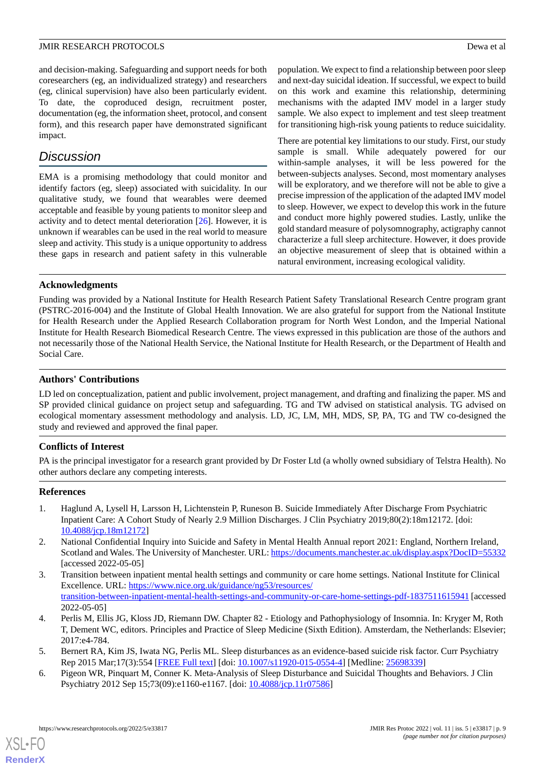and decision-making. Safeguarding and support needs for both coresearchers (eg, an individualized strategy) and researchers (eg, clinical supervision) have also been particularly evident. To date, the coproduced design, recruitment poster, documentation (eg, the information sheet, protocol, and consent form), and this research paper have demonstrated significant impact.

# *Discussion*

EMA is a promising methodology that could monitor and identify factors (eg, sleep) associated with suicidality. In our qualitative study, we found that wearables were deemed acceptable and feasible by young patients to monitor sleep and activity and to detect mental deterioration [[26\]](#page-9-16). However, it is unknown if wearables can be used in the real world to measure sleep and activity. This study is a unique opportunity to address these gaps in research and patient safety in this vulnerable population. We expect to find a relationship between poor sleep and next-day suicidal ideation. If successful, we expect to build on this work and examine this relationship, determining mechanisms with the adapted IMV model in a larger study sample. We also expect to implement and test sleep treatment for transitioning high-risk young patients to reduce suicidality.

There are potential key limitations to our study. First, our study sample is small. While adequately powered for our within-sample analyses, it will be less powered for the between-subjects analyses. Second, most momentary analyses will be exploratory, and we therefore will not be able to give a precise impression of the application of the adapted IMV model to sleep. However, we expect to develop this work in the future and conduct more highly powered studies. Lastly, unlike the gold standard measure of polysomnography, actigraphy cannot characterize a full sleep architecture. However, it does provide an objective measurement of sleep that is obtained within a natural environment, increasing ecological validity.

# **Acknowledgments**

Funding was provided by a National Institute for Health Research Patient Safety Translational Research Centre program grant (PSTRC-2016-004) and the Institute of Global Health Innovation. We are also grateful for support from the National Institute for Health Research under the Applied Research Collaboration program for North West London, and the Imperial National Institute for Health Research Biomedical Research Centre. The views expressed in this publication are those of the authors and not necessarily those of the National Health Service, the National Institute for Health Research, or the Department of Health and Social Care.

# **Authors' Contributions**

LD led on conceptualization, patient and public involvement, project management, and drafting and finalizing the paper. MS and SP provided clinical guidance on project setup and safeguarding. TG and TW advised on statistical analysis. TG advised on ecological momentary assessment methodology and analysis. LD, JC, LM, MH, MDS, SP, PA, TG and TW co-designed the study and reviewed and approved the final paper.

# **Conflicts of Interest**

<span id="page-8-0"></span>PA is the principal investigator for a research grant provided by Dr Foster Ltd (a wholly owned subsidiary of Telstra Health). No other authors declare any competing interests.

# <span id="page-8-1"></span>**References**

- <span id="page-8-2"></span>1. Haglund A, Lysell H, Larsson H, Lichtenstein P, Runeson B. Suicide Immediately After Discharge From Psychiatric Inpatient Care: A Cohort Study of Nearly 2.9 Million Discharges. J Clin Psychiatry 2019;80(2):18m12172. [doi: [10.4088/jcp.18m12172](http://dx.doi.org/10.4088/jcp.18m12172)]
- <span id="page-8-3"></span>2. National Confidential Inquiry into Suicide and Safety in Mental Health Annual report 2021: England, Northern Ireland, Scotland and Wales. The University of Manchester. URL:<https://documents.manchester.ac.uk/display.aspx?DocID=55332> [accessed 2022-05-05]
- <span id="page-8-4"></span>3. Transition between inpatient mental health settings and community or care home settings. National Institute for Clinical Excellence. URL: [https://www.nice.org.uk/guidance/ng53/resources/](https://www.nice.org.uk/guidance/ng53/resources/transition-between-inpatient-mental-health-settings-and-community-or-care-home-settings-pdf-1837511615941) [transition-between-inpatient-mental-health-settings-and-community-or-care-home-settings-pdf-1837511615941](https://www.nice.org.uk/guidance/ng53/resources/transition-between-inpatient-mental-health-settings-and-community-or-care-home-settings-pdf-1837511615941) [accessed 2022-05-05]
- <span id="page-8-5"></span>4. Perlis M, Ellis JG, Kloss JD, Riemann DW. Chapter 82 - Etiology and Pathophysiology of Insomnia. In: Kryger M, Roth T, Dement WC, editors. Principles and Practice of Sleep Medicine (Sixth Edition). Amsterdam, the Netherlands: Elsevier; 2017:e4-784.
- 5. Bernert RA, Kim JS, Iwata NG, Perlis ML. Sleep disturbances as an evidence-based suicide risk factor. Curr Psychiatry Rep 2015 Mar;17(3):554 [\[FREE Full text\]](http://europepmc.org/abstract/MED/25698339) [doi: [10.1007/s11920-015-0554-4](http://dx.doi.org/10.1007/s11920-015-0554-4)] [Medline: [25698339\]](http://www.ncbi.nlm.nih.gov/entrez/query.fcgi?cmd=Retrieve&db=PubMed&list_uids=25698339&dopt=Abstract)
- 6. Pigeon WR, Pinquart M, Conner K. Meta-Analysis of Sleep Disturbance and Suicidal Thoughts and Behaviors. J Clin Psychiatry 2012 Sep 15;73(09):e1160-e1167. [doi: [10.4088/jcp.11r07586](http://dx.doi.org/10.4088/jcp.11r07586)]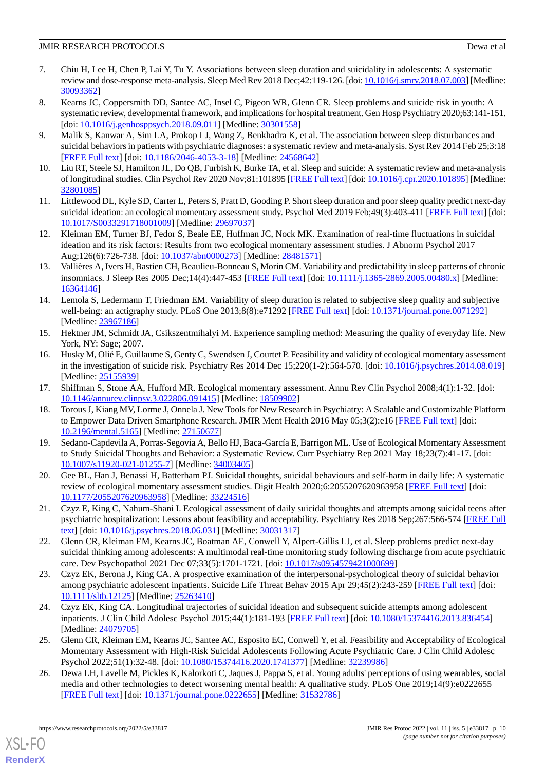- <span id="page-9-0"></span>7. Chiu H, Lee H, Chen P, Lai Y, Tu Y. Associations between sleep duration and suicidality in adolescents: A systematic review and dose-response meta-analysis. Sleep Med Rev 2018 Dec;42:119-126. [doi: [10.1016/j.smrv.2018.07.003\]](http://dx.doi.org/10.1016/j.smrv.2018.07.003) [Medline: [30093362](http://www.ncbi.nlm.nih.gov/entrez/query.fcgi?cmd=Retrieve&db=PubMed&list_uids=30093362&dopt=Abstract)]
- <span id="page-9-1"></span>8. Kearns JC, Coppersmith DD, Santee AC, Insel C, Pigeon WR, Glenn CR. Sleep problems and suicide risk in youth: A systematic review, developmental framework, and implications for hospital treatment. Gen Hosp Psychiatry 2020;63:141-151. [doi: [10.1016/j.genhosppsych.2018.09.011\]](http://dx.doi.org/10.1016/j.genhosppsych.2018.09.011) [Medline: [30301558](http://www.ncbi.nlm.nih.gov/entrez/query.fcgi?cmd=Retrieve&db=PubMed&list_uids=30301558&dopt=Abstract)]
- <span id="page-9-3"></span><span id="page-9-2"></span>9. Malik S, Kanwar A, Sim LA, Prokop LJ, Wang Z, Benkhadra K, et al. The association between sleep disturbances and suicidal behaviors in patients with psychiatric diagnoses: a systematic review and meta-analysis. Syst Rev 2014 Feb 25;3:18 [[FREE Full text](https://systematicreviewsjournal.biomedcentral.com/articles/10.1186/2046-4053-3-18)] [doi: [10.1186/2046-4053-3-18\]](http://dx.doi.org/10.1186/2046-4053-3-18) [Medline: [24568642\]](http://www.ncbi.nlm.nih.gov/entrez/query.fcgi?cmd=Retrieve&db=PubMed&list_uids=24568642&dopt=Abstract)
- <span id="page-9-4"></span>10. Liu RT, Steele SJ, Hamilton JL, Do QB, Furbish K, Burke TA, et al. Sleep and suicide: A systematic review and meta-analysis of longitudinal studies. Clin Psychol Rev 2020 Nov;81:101895 [\[FREE Full text](http://europepmc.org/abstract/MED/32801085)] [doi: [10.1016/j.cpr.2020.101895](http://dx.doi.org/10.1016/j.cpr.2020.101895)] [Medline: [32801085](http://www.ncbi.nlm.nih.gov/entrez/query.fcgi?cmd=Retrieve&db=PubMed&list_uids=32801085&dopt=Abstract)]
- <span id="page-9-5"></span>11. Littlewood DL, Kyle SD, Carter L, Peters S, Pratt D, Gooding P. Short sleep duration and poor sleep quality predict next-day suicidal ideation: an ecological momentary assessment study. Psychol Med 2019 Feb;49(3):403-411 [[FREE Full text](http://europepmc.org/abstract/MED/29697037)] [doi: [10.1017/S0033291718001009](http://dx.doi.org/10.1017/S0033291718001009)] [Medline: [29697037](http://www.ncbi.nlm.nih.gov/entrez/query.fcgi?cmd=Retrieve&db=PubMed&list_uids=29697037&dopt=Abstract)]
- 12. Kleiman EM, Turner BJ, Fedor S, Beale EE, Huffman JC, Nock MK. Examination of real-time fluctuations in suicidal ideation and its risk factors: Results from two ecological momentary assessment studies. J Abnorm Psychol 2017 Aug;126(6):726-738. [doi: [10.1037/abn0000273](http://dx.doi.org/10.1037/abn0000273)] [Medline: [28481571](http://www.ncbi.nlm.nih.gov/entrez/query.fcgi?cmd=Retrieve&db=PubMed&list_uids=28481571&dopt=Abstract)]
- 13. Vallières A, Ivers H, Bastien CH, Beaulieu-Bonneau S, Morin CM. Variability and predictability in sleep patterns of chronic insomniacs. J Sleep Res 2005 Dec;14(4):447-453 [\[FREE Full text](https://doi.org/10.1111/j.1365-2869.2005.00480.x)] [doi: [10.1111/j.1365-2869.2005.00480.x](http://dx.doi.org/10.1111/j.1365-2869.2005.00480.x)] [Medline: [16364146](http://www.ncbi.nlm.nih.gov/entrez/query.fcgi?cmd=Retrieve&db=PubMed&list_uids=16364146&dopt=Abstract)]
- <span id="page-9-6"></span>14. Lemola S, Ledermann T, Friedman EM. Variability of sleep duration is related to subjective sleep quality and subjective well-being: an actigraphy study. PLoS One 2013;8(8):e71292 [[FREE Full text\]](https://dx.plos.org/10.1371/journal.pone.0071292) [doi: [10.1371/journal.pone.0071292](http://dx.doi.org/10.1371/journal.pone.0071292)] [Medline: [23967186](http://www.ncbi.nlm.nih.gov/entrez/query.fcgi?cmd=Retrieve&db=PubMed&list_uids=23967186&dopt=Abstract)]
- <span id="page-9-7"></span>15. Hektner JM, Schmidt JA, Csikszentmihalyi M. Experience sampling method: Measuring the quality of everyday life. New York, NY: Sage; 2007.
- <span id="page-9-9"></span><span id="page-9-8"></span>16. Husky M, Olié E, Guillaume S, Genty C, Swendsen J, Courtet P. Feasibility and validity of ecological momentary assessment in the investigation of suicide risk. Psychiatry Res 2014 Dec 15;220(1-2):564-570. [doi: [10.1016/j.psychres.2014.08.019](http://dx.doi.org/10.1016/j.psychres.2014.08.019)] [Medline: [25155939](http://www.ncbi.nlm.nih.gov/entrez/query.fcgi?cmd=Retrieve&db=PubMed&list_uids=25155939&dopt=Abstract)]
- 17. Shiffman S, Stone AA, Hufford MR. Ecological momentary assessment. Annu Rev Clin Psychol 2008;4(1):1-32. [doi: [10.1146/annurev.clinpsy.3.022806.091415](http://dx.doi.org/10.1146/annurev.clinpsy.3.022806.091415)] [Medline: [18509902](http://www.ncbi.nlm.nih.gov/entrez/query.fcgi?cmd=Retrieve&db=PubMed&list_uids=18509902&dopt=Abstract)]
- <span id="page-9-10"></span>18. Torous J, Kiang MV, Lorme J, Onnela J. New Tools for New Research in Psychiatry: A Scalable and Customizable Platform to Empower Data Driven Smartphone Research. JMIR Ment Health 2016 May 05;3(2):e16 [[FREE Full text\]](https://mental.jmir.org/2016/2/e16/) [doi: [10.2196/mental.5165\]](http://dx.doi.org/10.2196/mental.5165) [Medline: [27150677](http://www.ncbi.nlm.nih.gov/entrez/query.fcgi?cmd=Retrieve&db=PubMed&list_uids=27150677&dopt=Abstract)]
- <span id="page-9-12"></span><span id="page-9-11"></span>19. Sedano-Capdevila A, Porras-Segovia A, Bello HJ, Baca-García E, Barrigon ML. Use of Ecological Momentary Assessment to Study Suicidal Thoughts and Behavior: a Systematic Review. Curr Psychiatry Rep 2021 May 18;23(7):41-17. [doi: [10.1007/s11920-021-01255-7\]](http://dx.doi.org/10.1007/s11920-021-01255-7) [Medline: [34003405\]](http://www.ncbi.nlm.nih.gov/entrez/query.fcgi?cmd=Retrieve&db=PubMed&list_uids=34003405&dopt=Abstract)
- <span id="page-9-14"></span>20. Gee BL, Han J, Benassi H, Batterham PJ. Suicidal thoughts, suicidal behaviours and self-harm in daily life: A systematic review of ecological momentary assessment studies. Digit Health 2020;6:2055207620963958 [\[FREE Full text\]](https://journals.sagepub.com/doi/10.1177/2055207620963958?url_ver=Z39.88-2003&rfr_id=ori:rid:crossref.org&rfr_dat=cr_pub%3dpubmed) [doi: [10.1177/2055207620963958\]](http://dx.doi.org/10.1177/2055207620963958) [Medline: [33224516\]](http://www.ncbi.nlm.nih.gov/entrez/query.fcgi?cmd=Retrieve&db=PubMed&list_uids=33224516&dopt=Abstract)
- 21. Czyz E, King C, Nahum-Shani I. Ecological assessment of daily suicidal thoughts and attempts among suicidal teens after psychiatric hospitalization: Lessons about feasibility and acceptability. Psychiatry Res 2018 Sep;267:566-574 [[FREE Full](http://europepmc.org/abstract/MED/30031317) [text](http://europepmc.org/abstract/MED/30031317)] [doi: [10.1016/j.psychres.2018.06.031\]](http://dx.doi.org/10.1016/j.psychres.2018.06.031) [Medline: [30031317](http://www.ncbi.nlm.nih.gov/entrez/query.fcgi?cmd=Retrieve&db=PubMed&list_uids=30031317&dopt=Abstract)]
- <span id="page-9-13"></span>22. Glenn CR, Kleiman EM, Kearns JC, Boatman AE, Conwell Y, Alpert-Gillis LJ, et al. Sleep problems predict next-day suicidal thinking among adolescents: A multimodal real-time monitoring study following discharge from acute psychiatric care. Dev Psychopathol 2021 Dec 07;33(5):1701-1721. [doi: [10.1017/s0954579421000699\]](http://dx.doi.org/10.1017/s0954579421000699)
- <span id="page-9-15"></span>23. Czyz EK, Berona J, King CA. A prospective examination of the interpersonal-psychological theory of suicidal behavior among psychiatric adolescent inpatients. Suicide Life Threat Behav 2015 Apr 29;45(2):243-259 [\[FREE Full text\]](http://europepmc.org/abstract/MED/25263410) [doi: [10.1111/sltb.12125](http://dx.doi.org/10.1111/sltb.12125)] [Medline: [25263410](http://www.ncbi.nlm.nih.gov/entrez/query.fcgi?cmd=Retrieve&db=PubMed&list_uids=25263410&dopt=Abstract)]
- <span id="page-9-16"></span>24. Czyz EK, King CA. Longitudinal trajectories of suicidal ideation and subsequent suicide attempts among adolescent inpatients. J Clin Child Adolesc Psychol 2015;44(1):181-193 [\[FREE Full text\]](http://europepmc.org/abstract/MED/24079705) [doi: [10.1080/15374416.2013.836454](http://dx.doi.org/10.1080/15374416.2013.836454)] [Medline: [24079705](http://www.ncbi.nlm.nih.gov/entrez/query.fcgi?cmd=Retrieve&db=PubMed&list_uids=24079705&dopt=Abstract)]
- 25. Glenn CR, Kleiman EM, Kearns JC, Santee AC, Esposito EC, Conwell Y, et al. Feasibility and Acceptability of Ecological Momentary Assessment with High-Risk Suicidal Adolescents Following Acute Psychiatric Care. J Clin Child Adolesc Psychol 2022;51(1):32-48. [doi: [10.1080/15374416.2020.1741377\]](http://dx.doi.org/10.1080/15374416.2020.1741377) [Medline: [32239986\]](http://www.ncbi.nlm.nih.gov/entrez/query.fcgi?cmd=Retrieve&db=PubMed&list_uids=32239986&dopt=Abstract)
- 26. Dewa LH, Lavelle M, Pickles K, Kalorkoti C, Jaques J, Pappa S, et al. Young adults' perceptions of using wearables, social media and other technologies to detect worsening mental health: A qualitative study. PLoS One 2019;14(9):e0222655 [[FREE Full text](https://dx.plos.org/10.1371/journal.pone.0222655)] [doi: [10.1371/journal.pone.0222655](http://dx.doi.org/10.1371/journal.pone.0222655)] [Medline: [31532786](http://www.ncbi.nlm.nih.gov/entrez/query.fcgi?cmd=Retrieve&db=PubMed&list_uids=31532786&dopt=Abstract)]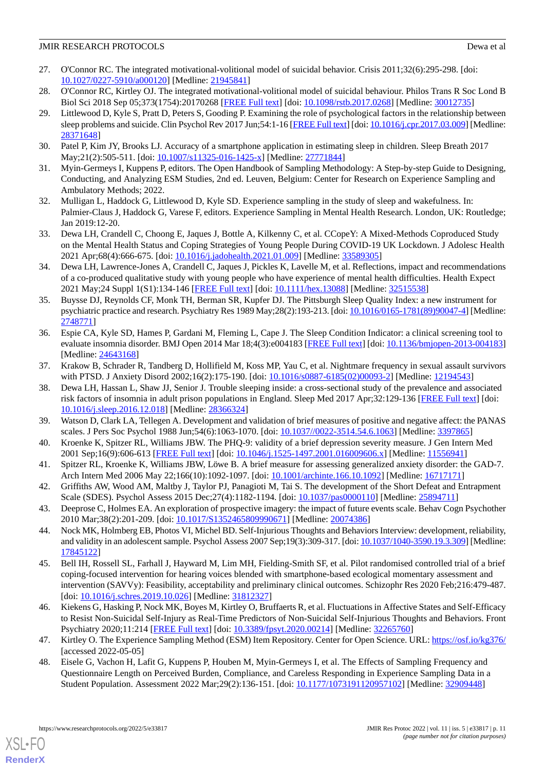- <span id="page-10-0"></span>27. O'Connor RC. The integrated motivational-volitional model of suicidal behavior. Crisis 2011;32(6):295-298. [doi: [10.1027/0227-5910/a000120](http://dx.doi.org/10.1027/0227-5910/a000120)] [Medline: [21945841](http://www.ncbi.nlm.nih.gov/entrez/query.fcgi?cmd=Retrieve&db=PubMed&list_uids=21945841&dopt=Abstract)]
- <span id="page-10-2"></span><span id="page-10-1"></span>28. O'Connor RC, Kirtley OJ. The integrated motivational-volitional model of suicidal behaviour. Philos Trans R Soc Lond B Biol Sci 2018 Sep 05;373(1754):20170268 [[FREE Full text](https://royalsocietypublishing.org/doi/abs/10.1098/rstb.2017.0268?url_ver=Z39.88-2003&rfr_id=ori:rid:crossref.org&rfr_dat=cr_pub%3dpubmed)] [doi: [10.1098/rstb.2017.0268](http://dx.doi.org/10.1098/rstb.2017.0268)] [Medline: [30012735\]](http://www.ncbi.nlm.nih.gov/entrez/query.fcgi?cmd=Retrieve&db=PubMed&list_uids=30012735&dopt=Abstract)
- 29. Littlewood D, Kyle S, Pratt D, Peters S, Gooding P. Examining the role of psychological factors in the relationship between sleep problems and suicide. Clin Psychol Rev 2017 Jun;54:1-16 [\[FREE Full text\]](https://linkinghub.elsevier.com/retrieve/pii/S0272-7358(16)30310-5) [doi: [10.1016/j.cpr.2017.03.009\]](http://dx.doi.org/10.1016/j.cpr.2017.03.009) [Medline: [28371648](http://www.ncbi.nlm.nih.gov/entrez/query.fcgi?cmd=Retrieve&db=PubMed&list_uids=28371648&dopt=Abstract)]
- <span id="page-10-4"></span><span id="page-10-3"></span>30. Patel P, Kim JY, Brooks LJ. Accuracy of a smartphone application in estimating sleep in children. Sleep Breath 2017 May;21(2):505-511. [doi: [10.1007/s11325-016-1425-x\]](http://dx.doi.org/10.1007/s11325-016-1425-x) [Medline: [27771844\]](http://www.ncbi.nlm.nih.gov/entrez/query.fcgi?cmd=Retrieve&db=PubMed&list_uids=27771844&dopt=Abstract)
- <span id="page-10-5"></span>31. Myin-Germeys I, Kuppens P, editors. The Open Handbook of Sampling Methodology: A Step-by-step Guide to Designing, Conducting, and Analyzing ESM Studies, 2nd ed. Leuven, Belgium: Center for Research on Experience Sampling and Ambulatory Methods; 2022.
- <span id="page-10-6"></span>32. Mulligan L, Haddock G, Littlewood D, Kyle SD. Experience sampling in the study of sleep and wakefulness. In: Palmier-Claus J, Haddock G, Varese F, editors. Experience Sampling in Mental Health Research. London, UK: Routledge; Jan 2019:12-20.
- <span id="page-10-7"></span>33. Dewa LH, Crandell C, Choong E, Jaques J, Bottle A, Kilkenny C, et al. CCopeY: A Mixed-Methods Coproduced Study on the Mental Health Status and Coping Strategies of Young People During COVID-19 UK Lockdown. J Adolesc Health 2021 Apr;68(4):666-675. [doi: [10.1016/j.jadohealth.2021.01.009](http://dx.doi.org/10.1016/j.jadohealth.2021.01.009)] [Medline: [33589305](http://www.ncbi.nlm.nih.gov/entrez/query.fcgi?cmd=Retrieve&db=PubMed&list_uids=33589305&dopt=Abstract)]
- <span id="page-10-8"></span>34. Dewa LH, Lawrence-Jones A, Crandell C, Jaques J, Pickles K, Lavelle M, et al. Reflections, impact and recommendations of a co-produced qualitative study with young people who have experience of mental health difficulties. Health Expect 2021 May;24 Suppl 1(S1):134-146 [[FREE Full text](https://doi.org/10.1111/hex.13088)] [doi: [10.1111/hex.13088](http://dx.doi.org/10.1111/hex.13088)] [Medline: [32515538](http://www.ncbi.nlm.nih.gov/entrez/query.fcgi?cmd=Retrieve&db=PubMed&list_uids=32515538&dopt=Abstract)]
- <span id="page-10-9"></span>35. Buysse DJ, Reynolds CF, Monk TH, Berman SR, Kupfer DJ. The Pittsburgh Sleep Quality Index: a new instrument for psychiatric practice and research. Psychiatry Res 1989 May;28(2):193-213. [doi: [10.1016/0165-1781\(89\)90047-4\]](http://dx.doi.org/10.1016/0165-1781(89)90047-4) [Medline: [2748771\]](http://www.ncbi.nlm.nih.gov/entrez/query.fcgi?cmd=Retrieve&db=PubMed&list_uids=2748771&dopt=Abstract)
- <span id="page-10-10"></span>36. Espie CA, Kyle SD, Hames P, Gardani M, Fleming L, Cape J. The Sleep Condition Indicator: a clinical screening tool to evaluate insomnia disorder. BMJ Open 2014 Mar 18;4(3):e004183 [\[FREE Full text\]](https://bmjopen.bmj.com/lookup/pmidlookup?view=long&pmid=24643168) [doi: [10.1136/bmjopen-2013-004183](http://dx.doi.org/10.1136/bmjopen-2013-004183)] [Medline: [24643168](http://www.ncbi.nlm.nih.gov/entrez/query.fcgi?cmd=Retrieve&db=PubMed&list_uids=24643168&dopt=Abstract)]
- <span id="page-10-11"></span>37. Krakow B, Schrader R, Tandberg D, Hollifield M, Koss MP, Yau C, et al. Nightmare frequency in sexual assault survivors with PTSD. J Anxiety Disord 2002;16(2):175-190. [doi: [10.1016/s0887-6185\(02\)00093-2](http://dx.doi.org/10.1016/s0887-6185(02)00093-2)] [Medline: [12194543](http://www.ncbi.nlm.nih.gov/entrez/query.fcgi?cmd=Retrieve&db=PubMed&list_uids=12194543&dopt=Abstract)]
- <span id="page-10-13"></span><span id="page-10-12"></span>38. Dewa LH, Hassan L, Shaw JJ, Senior J. Trouble sleeping inside: a cross-sectional study of the prevalence and associated risk factors of insomnia in adult prison populations in England. Sleep Med 2017 Apr;32:129-136 [\[FREE Full text](https://linkinghub.elsevier.com/retrieve/pii/S1389-9457(17)30006-0)] [doi: [10.1016/j.sleep.2016.12.018](http://dx.doi.org/10.1016/j.sleep.2016.12.018)] [Medline: [28366324\]](http://www.ncbi.nlm.nih.gov/entrez/query.fcgi?cmd=Retrieve&db=PubMed&list_uids=28366324&dopt=Abstract)
- <span id="page-10-14"></span>39. Watson D, Clark LA, Tellegen A. Development and validation of brief measures of positive and negative affect: the PANAS scales. J Pers Soc Psychol 1988 Jun;54(6):1063-1070. [doi: [10.1037//0022-3514.54.6.1063](http://dx.doi.org/10.1037//0022-3514.54.6.1063)] [Medline: [3397865](http://www.ncbi.nlm.nih.gov/entrez/query.fcgi?cmd=Retrieve&db=PubMed&list_uids=3397865&dopt=Abstract)]
- <span id="page-10-15"></span>40. Kroenke K, Spitzer RL, Williams JBW. The PHQ-9: validity of a brief depression severity measure. J Gen Intern Med 2001 Sep;16(9):606-613 [\[FREE Full text\]](https://onlinelibrary.wiley.com/resolve/openurl?genre=article&sid=nlm:pubmed&issn=0884-8734&date=2001&volume=16&issue=9&spage=606) [doi: [10.1046/j.1525-1497.2001.016009606.x](http://dx.doi.org/10.1046/j.1525-1497.2001.016009606.x)] [Medline: [11556941](http://www.ncbi.nlm.nih.gov/entrez/query.fcgi?cmd=Retrieve&db=PubMed&list_uids=11556941&dopt=Abstract)]
- <span id="page-10-16"></span>41. Spitzer RL, Kroenke K, Williams JBW, Löwe B. A brief measure for assessing generalized anxiety disorder: the GAD-7. Arch Intern Med 2006 May 22;166(10):1092-1097. [doi: [10.1001/archinte.166.10.1092](http://dx.doi.org/10.1001/archinte.166.10.1092)] [Medline: [16717171](http://www.ncbi.nlm.nih.gov/entrez/query.fcgi?cmd=Retrieve&db=PubMed&list_uids=16717171&dopt=Abstract)]
- <span id="page-10-17"></span>42. Griffiths AW, Wood AM, Maltby J, Taylor PJ, Panagioti M, Tai S. The development of the Short Defeat and Entrapment Scale (SDES). Psychol Assess 2015 Dec;27(4):1182-1194. [doi: [10.1037/pas0000110\]](http://dx.doi.org/10.1037/pas0000110) [Medline: [25894711\]](http://www.ncbi.nlm.nih.gov/entrez/query.fcgi?cmd=Retrieve&db=PubMed&list_uids=25894711&dopt=Abstract)
- <span id="page-10-18"></span>43. Deeprose C, Holmes EA. An exploration of prospective imagery: the impact of future events scale. Behav Cogn Psychother 2010 Mar;38(2):201-209. [doi: [10.1017/S1352465809990671\]](http://dx.doi.org/10.1017/S1352465809990671) [Medline: [20074386](http://www.ncbi.nlm.nih.gov/entrez/query.fcgi?cmd=Retrieve&db=PubMed&list_uids=20074386&dopt=Abstract)]
- <span id="page-10-19"></span>44. Nock MK, Holmberg EB, Photos VI, Michel BD. Self-Injurious Thoughts and Behaviors Interview: development, reliability, and validity in an adolescent sample. Psychol Assess 2007 Sep;19(3):309-317. [doi: [10.1037/1040-3590.19.3.309\]](http://dx.doi.org/10.1037/1040-3590.19.3.309) [Medline: [17845122](http://www.ncbi.nlm.nih.gov/entrez/query.fcgi?cmd=Retrieve&db=PubMed&list_uids=17845122&dopt=Abstract)]
- <span id="page-10-20"></span>45. Bell IH, Rossell SL, Farhall J, Hayward M, Lim MH, Fielding-Smith SF, et al. Pilot randomised controlled trial of a brief coping-focused intervention for hearing voices blended with smartphone-based ecological momentary assessment and intervention (SAVVy): Feasibility, acceptability and preliminary clinical outcomes. Schizophr Res 2020 Feb;216:479-487. [doi: [10.1016/j.schres.2019.10.026\]](http://dx.doi.org/10.1016/j.schres.2019.10.026) [Medline: [31812327\]](http://www.ncbi.nlm.nih.gov/entrez/query.fcgi?cmd=Retrieve&db=PubMed&list_uids=31812327&dopt=Abstract)
- <span id="page-10-21"></span>46. Kiekens G, Hasking P, Nock MK, Boyes M, Kirtley O, Bruffaerts R, et al. Fluctuations in Affective States and Self-Efficacy to Resist Non-Suicidal Self-Injury as Real-Time Predictors of Non-Suicidal Self-Injurious Thoughts and Behaviors. Front Psychiatry 2020;11:214 [[FREE Full text](https://doi.org/10.3389/fpsyt.2020.00214)] [doi: [10.3389/fpsyt.2020.00214](http://dx.doi.org/10.3389/fpsyt.2020.00214)] [Medline: [32265760](http://www.ncbi.nlm.nih.gov/entrez/query.fcgi?cmd=Retrieve&db=PubMed&list_uids=32265760&dopt=Abstract)]
- 47. Kirtley O. The Experience Sampling Method (ESM) Item Repository. Center for Open Science. URL:<https://osf.io/kg376/> [accessed 2022-05-05]
- 48. Eisele G, Vachon H, Lafit G, Kuppens P, Houben M, Myin-Germeys I, et al. The Effects of Sampling Frequency and Questionnaire Length on Perceived Burden, Compliance, and Careless Responding in Experience Sampling Data in a Student Population. Assessment 2022 Mar;29(2):136-151. [doi: [10.1177/1073191120957102](http://dx.doi.org/10.1177/1073191120957102)] [Medline: [32909448\]](http://www.ncbi.nlm.nih.gov/entrez/query.fcgi?cmd=Retrieve&db=PubMed&list_uids=32909448&dopt=Abstract)